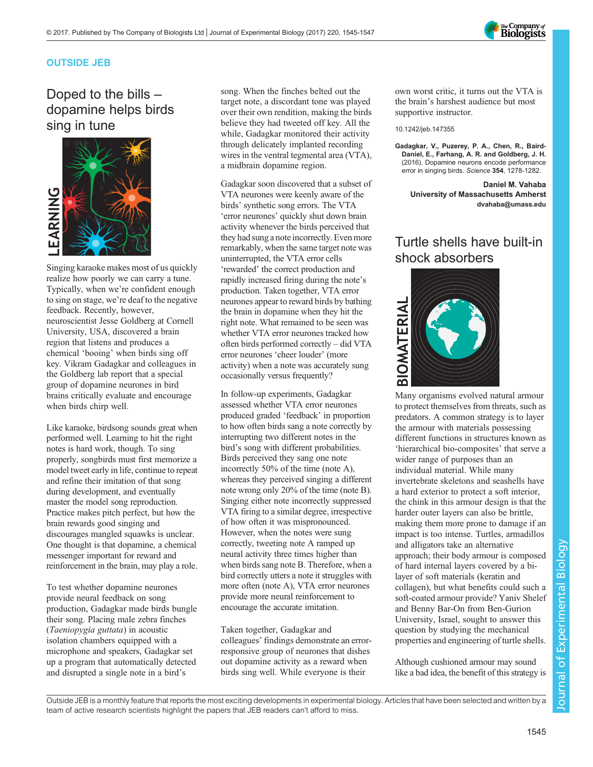

#### OUTSIDE JEB

# Doped to the bills – dopamine helps birds sing in tune



Singing karaoke makes most of us quickly realize how poorly we can carry a tune. Typically, when we're confident enough to sing on stage, we're deaf to the negative feedback. Recently, however, neuroscientist Jesse Goldberg at Cornell University, USA, discovered a brain region that listens and produces a chemical 'booing' when birds sing off key. Vikram Gadagkar and colleagues in the Goldberg lab report that a special group of dopamine neurones in bird brains critically evaluate and encourage when birds chirp well.

Like karaoke, birdsong sounds great when performed well. Learning to hit the right notes is hard work, though. To sing properly, songbirds must first memorize a model tweet early in life, continue to repeat and refine their imitation of that song during development, and eventually master the model song reproduction. Practice makes pitch perfect, but how the brain rewards good singing and discourages mangled squawks is unclear. One thought is that dopamine, a chemical messenger important for reward and reinforcement in the brain, may play a role.

To test whether dopamine neurones provide neural feedback on song production, Gadagkar made birds bungle their song. Placing male zebra finches (Taeniopygia guttata) in acoustic isolation chambers equipped with a microphone and speakers, Gadagkar set up a program that automatically detected and disrupted a single note in a bird's

song. When the finches belted out the target note, a discordant tone was played over their own rendition, making the birds believe they had tweeted off key. All the while, Gadagkar monitored their activity through delicately implanted recording wires in the ventral tegmental area (VTA), a midbrain dopamine region.

Gadagkar soon discovered that a subset of VTA neurones were keenly aware of the birds' synthetic song errors. The VTA 'error neurones' quickly shut down brain activity whenever the birds perceived that they had sung a note incorrectly. Even more remarkably, when the same target note was uninterrupted, the VTA error cells 'rewarded' the correct production and rapidly increased firing during the note's production. Taken together, VTA error neurones appear to reward birds by bathing the brain in dopamine when they hit the right note. What remained to be seen was whether VTA error neurones tracked how often birds performed correctly – did VTA error neurones 'cheer louder' (more activity) when a note was accurately sung occasionally versus frequently?

In follow-up experiments, Gadagkar assessed whether VTA error neurones produced graded 'feedback' in proportion to how often birds sang a note correctly by interrupting two different notes in the bird's song with different probabilities. Birds perceived they sang one note incorrectly 50% of the time (note A), whereas they perceived singing a different note wrong only 20% of the time (note B). Singing either note incorrectly suppressed VTA firing to a similar degree, irrespective of how often it was mispronounced. However, when the notes were sung correctly, tweeting note A ramped up neural activity three times higher than when birds sang note B. Therefore, when a bird correctly utters a note it struggles with more often (note A), VTA error neurones provide more neural reinforcement to encourage the accurate imitation.

Taken together, Gadagkar and colleagues' findings demonstrate an errorresponsive group of neurones that dishes out dopamine activity as a reward when birds sing well. While everyone is their

own worst critic, it turns out the VTA is the brain's harshest audience but most supportive instructor.

10.1242/jeb.147355

[Gadagkar, V., Puzerey, P. A., Chen, R., Baird-](http://dx.doi.org/10.1126/science.aah6837)[Daniel, E., Farhang, A. R. and Goldberg, J. H.](http://dx.doi.org/10.1126/science.aah6837) [\(2016\). Dopamine neurons encode performance](http://dx.doi.org/10.1126/science.aah6837) [error in singing birds.](http://dx.doi.org/10.1126/science.aah6837) Science 354, 1278-1282.

Daniel M. Vahaba University of Massachusetts Amherst [dvahaba@umass.edu](mailto:dvahaba@umass.edu)

# Turtle shells have built-in shock absorbers



Many organisms evolved natural armour to protect themselves from threats, such as predators. A common strategy is to layer the armour with materials possessing different functions in structures known as 'hierarchical bio-composites' that serve a wider range of purposes than an individual material. While many invertebrate skeletons and seashells have a hard exterior to protect a soft interior, the chink in this armour design is that the harder outer layers can also be brittle, making them more prone to damage if an impact is too intense. Turtles, armadillos and alligators take an alternative approach; their body armour is composed of hard internal layers covered by a bilayer of soft materials (keratin and collagen), but what benefits could such a soft-coated armour provide? Yaniv Shelef and Benny Bar-On from Ben-Gurion University, Israel, sought to answer this question by studying the mechanical properties and engineering of turtle shells.

Although cushioned armour may sound like a bad idea, the benefit of this strategy is

Outside JEB is a monthly feature that reports the most exciting developments in experimental biology. Articles that have been selected and written by a team of active research scientists highlight the papers that JEB readers can't afford to miss.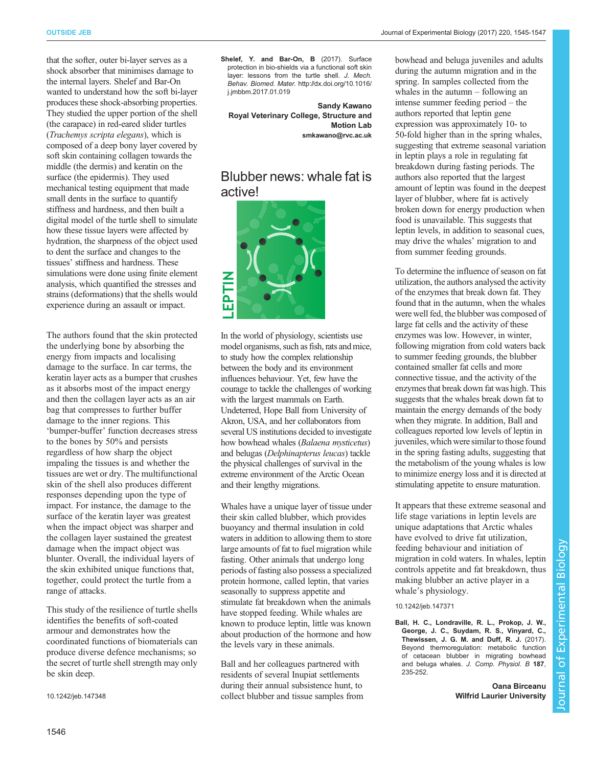that the softer, outer bi-layer serves as a shock absorber that minimises damage to the internal layers. Shelef and Bar-On wanted to understand how the soft bi-layer produces these shock-absorbing properties. They studied the upper portion of the shell (the carapace) in red-eared slider turtles (Trachemys scripta elegans), which is composed of a deep bony layer covered by soft skin containing collagen towards the middle (the dermis) and keratin on the surface (the epidermis). They used mechanical testing equipment that made small dents in the surface to quantify stiffness and hardness, and then built a digital model of the turtle shell to simulate how these tissue layers were affected by hydration, the sharpness of the object used to dent the surface and changes to the tissues' stiffness and hardness. These simulations were done using finite element analysis, which quantified the stresses and strains (deformations) that the shells would experience during an assault or impact.

The authors found that the skin protected the underlying bone by absorbing the energy from impacts and localising damage to the surface. In car terms, the keratin layer acts as a bumper that crushes as it absorbs most of the impact energy and then the collagen layer acts as an air bag that compresses to further buffer damage to the inner regions. This 'bumper-buffer' function decreases stress to the bones by 50% and persists regardless of how sharp the object impaling the tissues is and whether the tissues are wet or dry. The multifunctional skin of the shell also produces different responses depending upon the type of impact. For instance, the damage to the surface of the keratin layer was greatest when the impact object was sharper and the collagen layer sustained the greatest damage when the impact object was blunter. Overall, the individual layers of the skin exhibited unique functions that, together, could protect the turtle from a range of attacks.

This study of the resilience of turtle shells identifies the benefits of soft-coated armour and demonstrates how the coordinated functions of biomaterials can produce diverse defence mechanisms; so the secret of turtle shell strength may only be skin deep.

10.1242/jeb.147348

Shelef, Y. and Bar-On, B (2017). Surface protection in bio-shields via a functional soft skin layer: lessons from the turtle shell. J. Mech. Behav. Biomed. Mater. [http://dx.doi.org/10.1016/](http://dx.doi.org/10.1016/j.jmbbm.2017.01.019) [j.jmbbm.2017.01.019](http://dx.doi.org/10.1016/j.jmbbm.2017.01.019)

Sandy Kawano Royal Veterinary College, Structure and Motion Lab [smkawano@rvc.ac.uk](mailto:smkawano@rvc.ac.uk)

### Blubber news: whale fat is active!



In the world of physiology, scientists use model organisms, such as fish, rats and mice, to study how the complex relationship between the body and its environment influences behaviour. Yet, few have the courage to tackle the challenges of working with the largest mammals on Earth. Undeterred, Hope Ball from University of Akron, USA, and her collaborators from several US institutions decided to investigate how bowhead whales (Balaena mysticetus) and belugas (Delphinapterus leucas) tackle the physical challenges of survival in the extreme environment of the Arctic Ocean and their lengthy migrations.

Whales have a unique layer of tissue under their skin called blubber, which provides buoyancy and thermal insulation in cold waters in addition to allowing them to store large amounts of fat to fuel migration while fasting. Other animals that undergo long periods of fasting also possess a specialized protein hormone, called leptin, that varies seasonally to suppress appetite and stimulate fat breakdown when the animals have stopped feeding. While whales are known to produce leptin, little was known about production of the hormone and how the levels vary in these animals.

Ball and her colleagues partnered with residents of several Inupiat settlements during their annual subsistence hunt, to collect blubber and tissue samples from bowhead and beluga juveniles and adults during the autumn migration and in the spring. In samples collected from the whales in the autumn – following an intense summer feeding period – the authors reported that leptin gene expression was approximately 10- to 50-fold higher than in the spring whales, suggesting that extreme seasonal variation in leptin plays a role in regulating fat breakdown during fasting periods. The authors also reported that the largest amount of leptin was found in the deepest layer of blubber, where fat is actively broken down for energy production when food is unavailable. This suggests that leptin levels, in addition to seasonal cues, may drive the whales' migration to and from summer feeding grounds.

To determine the influence of season on fat utilization, the authors analysed the activity of the enzymes that break down fat. They found that in the autumn, when the whales were well fed, the blubber was composed of large fat cells and the activity of these enzymes was low. However, in winter, following migration from cold waters back to summer feeding grounds, the blubber contained smaller fat cells and more connective tissue, and the activity of the enzymes that break down fat was high. This suggests that the whales break down fat to maintain the energy demands of the body when they migrate. In addition, Ball and colleagues reported low levels of leptin in juveniles, which were similar to those found in the spring fasting adults, suggesting that the metabolism of the young whales is low to minimize energy loss and it is directed at stimulating appetite to ensure maturation.

It appears that these extreme seasonal and life stage variations in leptin levels are unique adaptations that Arctic whales have evolved to drive fat utilization, feeding behaviour and initiation of migration in cold waters. In whales, leptin controls appetite and fat breakdown, thus making blubber an active player in a whale's physiology.

10.1242/jeb.147371

[Ball, H. C., Londraville, R. L., Prokop, J. W.,](http://dx.doi.org/10.1007/s00360-016-1029-6) [George, J. C., Suydam, R. S., Vinyard, C.,](http://dx.doi.org/10.1007/s00360-016-1029-6) [Thewissen, J. G. M. and Duff, R. J.](http://dx.doi.org/10.1007/s00360-016-1029-6) (2017). [Beyond thermoregulation: metabolic function](http://dx.doi.org/10.1007/s00360-016-1029-6) [of cetacean blubber in migrating bowhead](http://dx.doi.org/10.1007/s00360-016-1029-6) [and beluga whales.](http://dx.doi.org/10.1007/s00360-016-1029-6) J. Comp. Physiol. B 187, [235-252.](http://dx.doi.org/10.1007/s00360-016-1029-6)

> Oana Birceanu Wilfrid Laurier University